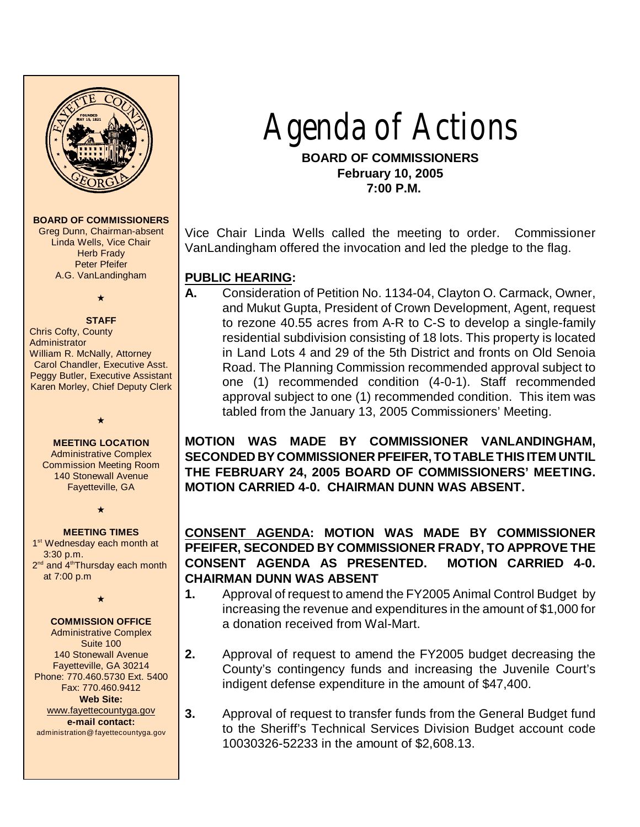

#### **BOARD OF COMMISSIONERS**

Greg Dunn, Chairman-absent Linda Wells, Vice Chair **Herb Frady** Peter Pfeifer A.G. VanLandingham

# $\bigstar$

**STAFF** Chris Cofty, County **Administrator** William R. McNally, Attorney Carol Chandler, Executive Asst. Peggy Butler, Executive Assistant Karen Morley, Chief Deputy Clerk

#### **MEETING LOCATION**

 $\star$ 

Administrative Complex Commission Meeting Room 140 Stonewall Avenue Fayetteville, GA

 $\star$ 

#### **MEETING TIMES** 1<sup>st</sup> Wednesday each month at 3:30 p.m.  $2<sup>nd</sup>$  and  $4<sup>th</sup>$ Thursdav each month at 7:00 p.m

 $\star$ 

# **COMMISSION OFFICE**

Administrative Complex Suite 100 140 Stonewall Avenue Fayetteville, GA 30214 Phone: 770.460.5730 Ext. 5400 Fax: 770.460.9412 **Web Site:** [www.fayettecountyga.gov](http://www.admin.co.fayette.ga.us) **e-mail contact:** administration@fayettecountyga.gov

Agenda of Actions

**BOARD OF COMMISSIONERS February 10, 2005 7:00 P.M.**

Vice Chair Linda Wells called the meeting to order. Commissioner VanLandingham offered the invocation and led the pledge to the flag.

### **PUBLIC HEARING:**

**A.** Consideration of Petition No. 1134-04, Clayton O. Carmack, Owner, and Mukut Gupta, President of Crown Development, Agent, request to rezone 40.55 acres from A-R to C-S to develop a single-family residential subdivision consisting of 18 lots. This property is located in Land Lots 4 and 29 of the 5th District and fronts on Old Senoia Road. The Planning Commission recommended approval subject to one (1) recommended condition (4-0-1). Staff recommended approval subject to one (1) recommended condition. This item was tabled from the January 13, 2005 Commissioners' Meeting.

**MOTION WAS MADE BY COMMISSIONER VANLANDINGHAM, SECONDED BY COMMISSIONER PFEIFER, TO TABLE THIS ITEM UNTIL THE FEBRUARY 24, 2005 BOARD OF COMMISSIONERS' MEETING. MOTION CARRIED 4-0. CHAIRMAN DUNN WAS ABSENT.**

# **CONSENT AGENDA: MOTION WAS MADE BY COMMISSIONER PFEIFER, SECONDED BY COMMISSIONER FRADY, TO APPROVE THE CONSENT AGENDA AS PRESENTED. MOTION CARRIED 4-0. CHAIRMAN DUNN WAS ABSENT**

- **1.** Approval of request to amend the FY2005 Animal Control Budget by increasing the revenue and expenditures in the amount of \$1,000 for a donation received from Wal-Mart.
- **2.** Approval of request to amend the FY2005 budget decreasing the County's contingency funds and increasing the Juvenile Court's indigent defense expenditure in the amount of \$47,400.
- **3.** Approval of request to transfer funds from the General Budget fund to the Sheriff's Technical Services Division Budget account code 10030326-52233 in the amount of \$2,608.13.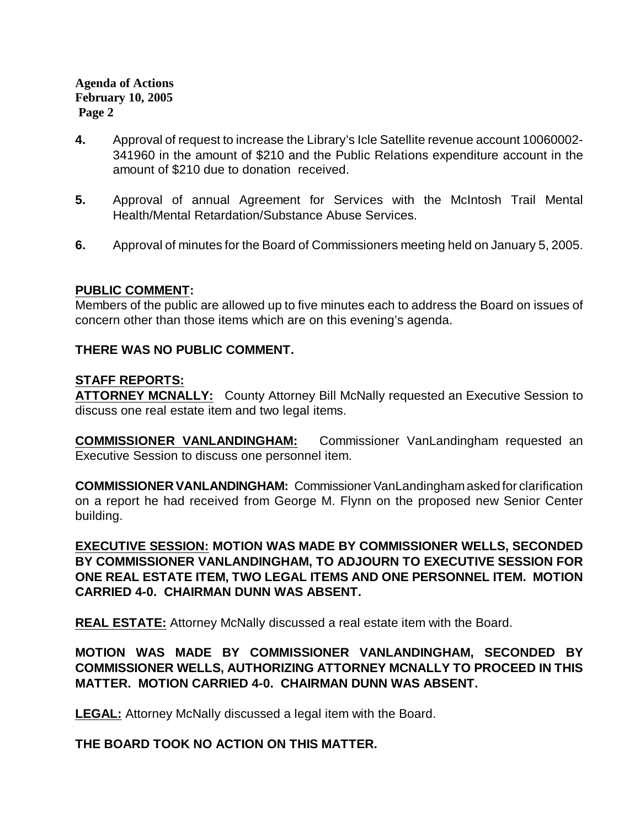**Agenda of Actions February 10, 2005 Page 2**

- **4.** Approval of request to increase the Library's Icle Satellite revenue account 10060002- 341960 in the amount of \$210 and the Public Relations expenditure account in the amount of \$210 due to donation received.
- **5.** Approval of annual Agreement for Services with the McIntosh Trail Mental Health/Mental Retardation/Substance Abuse Services.
- **6.** Approval of minutes for the Board of Commissioners meeting held on January 5, 2005.

#### **PUBLIC COMMENT:**

Members of the public are allowed up to five minutes each to address the Board on issues of concern other than those items which are on this evening's agenda.

### **THERE WAS NO PUBLIC COMMENT.**

### **STAFF REPORTS:**

**ATTORNEY MCNALLY:** County Attorney Bill McNally requested an Executive Session to discuss one real estate item and two legal items.

**COMMISSIONER VANLANDINGHAM:** Commissioner VanLandingham requested an Executive Session to discuss one personnel item.

**COMMISSIONER VANLANDINGHAM:** Commissioner VanLandingham asked for clarification on a report he had received from George M. Flynn on the proposed new Senior Center building.

**EXECUTIVE SESSION: MOTION WAS MADE BY COMMISSIONER WELLS, SECONDED BY COMMISSIONER VANLANDINGHAM, TO ADJOURN TO EXECUTIVE SESSION FOR ONE REAL ESTATE ITEM, TWO LEGAL ITEMS AND ONE PERSONNEL ITEM. MOTION CARRIED 4-0. CHAIRMAN DUNN WAS ABSENT.**

**REAL ESTATE:** Attorney McNally discussed a real estate item with the Board.

**MOTION WAS MADE BY COMMISSIONER VANLANDINGHAM, SECONDED BY COMMISSIONER WELLS, AUTHORIZING ATTORNEY MCNALLY TO PROCEED IN THIS MATTER. MOTION CARRIED 4-0. CHAIRMAN DUNN WAS ABSENT.**

**LEGAL:** Attorney McNally discussed a legal item with the Board.

**THE BOARD TOOK NO ACTION ON THIS MATTER.**